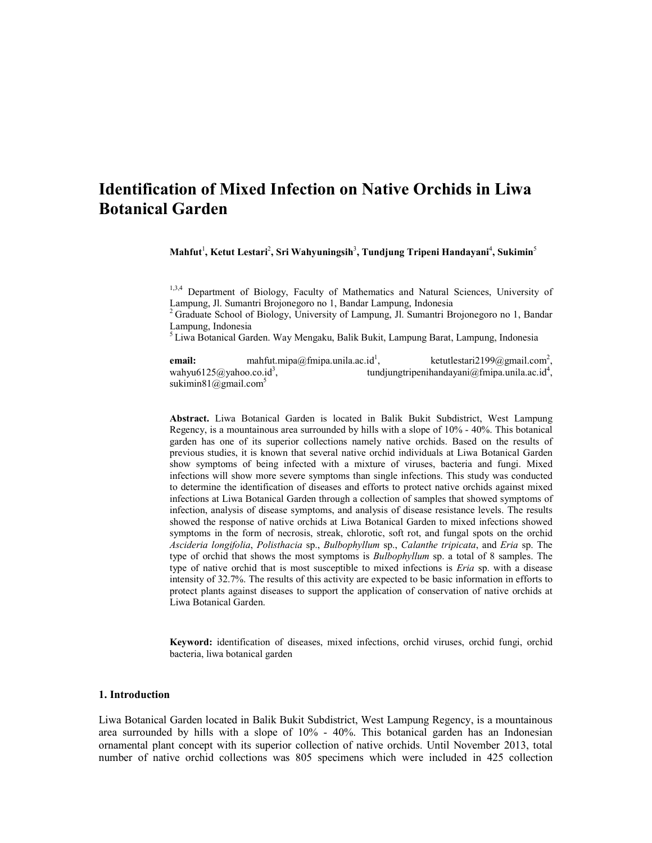# **Identification of Mixed Infection on Native Orchids in Liwa Botanical Garden**

 $\mathbf{M}$ ahfut<sup>1</sup>, Ketut Lestari<sup>2</sup>, Sri Wahyuningsih<sup>3</sup>, Tundjung Tripeni Handayani<sup>4</sup>, Sukimin<sup>5</sup>

 $1,3,4$  Department of Biology, Faculty of Mathematics and Natural Sciences, University of Lampung, Jl. Sumantri Brojonegoro no 1, Bandar Lampung, Indonesia

 $2$  Graduate School of Biology, University of Lampung, Jl. Sumantri Brojonegoro no 1, Bandar Lampung, Indonesia<br><sup>5</sup> Liwa Botanical Garden. Way Mengaku, Balik Bukit, Lampung Barat, Lampung, Indonesia

**email:** mahfut.mipa@fmipa.unila.ac.id<sup>1</sup>,  $k$ etutlestari2199@gmail.com<sup>2</sup>, wahyu6125@yahoo.co.id<sup>3</sup>, , tundjungtripenihandayani@fmipa.unila.ac.id<sup>4</sup>, sukimin $81$ @gmail.com<sup>5</sup>

**Abstract.** Liwa Botanical Garden is located in Balik Bukit Subdistrict, West Lampung Regency, is a mountainous area surrounded by hills with a slope of 10% - 40%. This botanical garden has one of its superior collections namely native orchids. Based on the results of previous studies, it is known that several native orchid individuals at Liwa Botanical Garden show symptoms of being infected with a mixture of viruses, bacteria and fungi. Mixed infections will show more severe symptoms than single infections. This study was conducted to determine the identification of diseases and efforts to protect native orchids against mixed infections at Liwa Botanical Garden through a collection of samples that showed symptoms of infection, analysis of disease symptoms, and analysis of disease resistance levels. The results showed the response of native orchids at Liwa Botanical Garden to mixed infections showed symptoms in the form of necrosis, streak, chlorotic, soft rot, and fungal spots on the orchid *Ascideria longifolia*, *Polisthacia* sp., *Bulbophyllum* sp., *Calanthe tripicata*, and *Eria* sp. The type of orchid that shows the most symptoms is *Bulbophyllum* sp. a total of 8 samples. The type of native orchid that is most susceptible to mixed infections is *Eria* sp. with a disease intensity of 32.7%. The results of this activity are expected to be basic information in efforts to protect plants against diseases to support the application of conservation of native orchids at Liwa Botanical Garden.

**Keyword:** identification of diseases, mixed infections, orchid viruses, orchid fungi, orchid bacteria, liwa botanical garden

#### **1. Introduction**

Liwa Botanical Garden located in Balik Bukit Subdistrict, West Lampung Regency, is a mountainous area surrounded by hills with a slope of 10% - 40%. This botanical garden has an Indonesian ornamental plant concept with its superior collection of native orchids. Until November 2013, total number of native orchid collections was 805 specimens which were included in 425 collection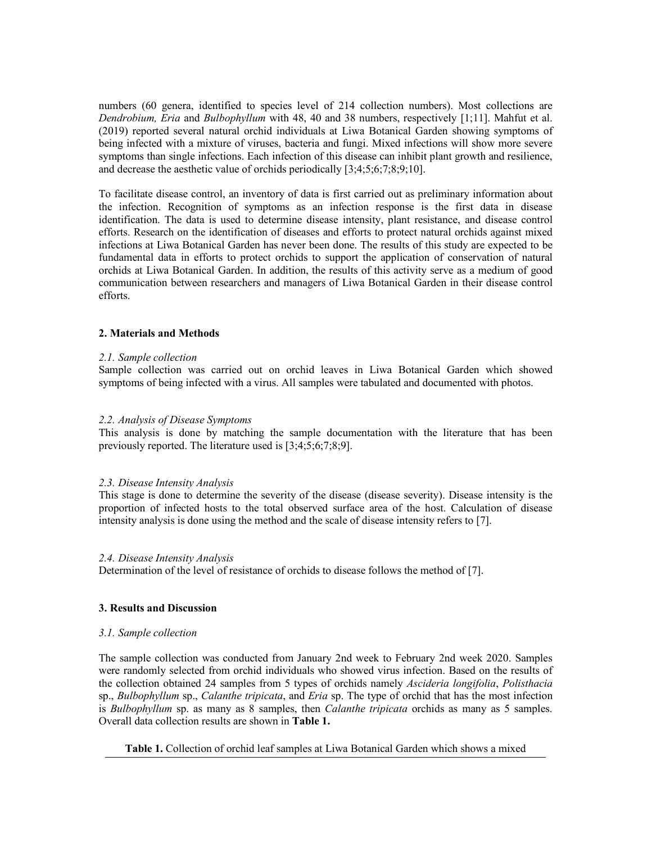numbers (60 genera, identified to species level of 214 collection numbers). Most collections are *Dendrobium, Eria* and *Bulbophyllum* with 48, 40 and 38 numbers, respectively [1;11]. Mahfut et al. (2019) reported several natural orchid individuals at Liwa Botanical Garden showing symptoms of being infected with a mixture of viruses, bacteria and fungi. Mixed infections will show more severe symptoms than single infections. Each infection of this disease can inhibit plant growth and resilience, and decrease the aesthetic value of orchids periodically [3;4;5;6;7;8;9;10].

To facilitate disease control, an inventory of data is first carried out as preliminary information about the infection. Recognition of symptoms as an infection response is the first data in disease identification. The data is used to determine disease intensity, plant resistance, and disease control efforts. Research on the identification of diseases and efforts to protect natural orchids against mixed infections at Liwa Botanical Garden has never been done. The results of this study are expected to be fundamental data in efforts to protect orchids to support the application of conservation of natural orchids at Liwa Botanical Garden. In addition, the results of this activity serve as a medium of good communication between researchers and managers of Liwa Botanical Garden in their disease control efforts.

## **2. Materials and Methods**

## *2.1. Sample collection*

Sample collection was carried out on orchid leaves in Liwa Botanical Garden which showed symptoms of being infected with a virus. All samples were tabulated and documented with photos.

## *2.2. Analysis of Disease Symptoms*

This analysis is done by matching the sample documentation with the literature that has been previously reported. The literature used is [3;4;5;6;7;8;9].

## *2.3. Disease Intensity Analysis*

This stage is done to determine the severity of the disease (disease severity). Disease intensity is the proportion of infected hosts to the total observed surface area of the host. Calculation of disease intensity analysis is done using the method and the scale of disease intensity refers to [7].

## *2.4. Disease Intensity Analysis*

Determination of the level of resistance of orchids to disease follows the method of [7].

## **3. Results and Discussion**

## *3.1. Sample collection*

The sample collection was conducted from January 2nd week to February 2nd week 2020. Samples were randomly selected from orchid individuals who showed virus infection. Based on the results of the collection obtained 24 samples from 5 types of orchids namely *Ascideria longifolia*, *Polisthacia* sp., *Bulbophyllum* sp., *Calanthe tripicata*, and *Eria* sp. The type of orchid that has the most infection is *Bulbophyllum* sp. as many as 8 samples, then *Calanthe tripicata* orchids as many as 5 samples. Overall data collection results are shown in **Table 1.**

**Table 1.** Collection of orchid leaf samples at Liwa Botanical Garden which shows a mixed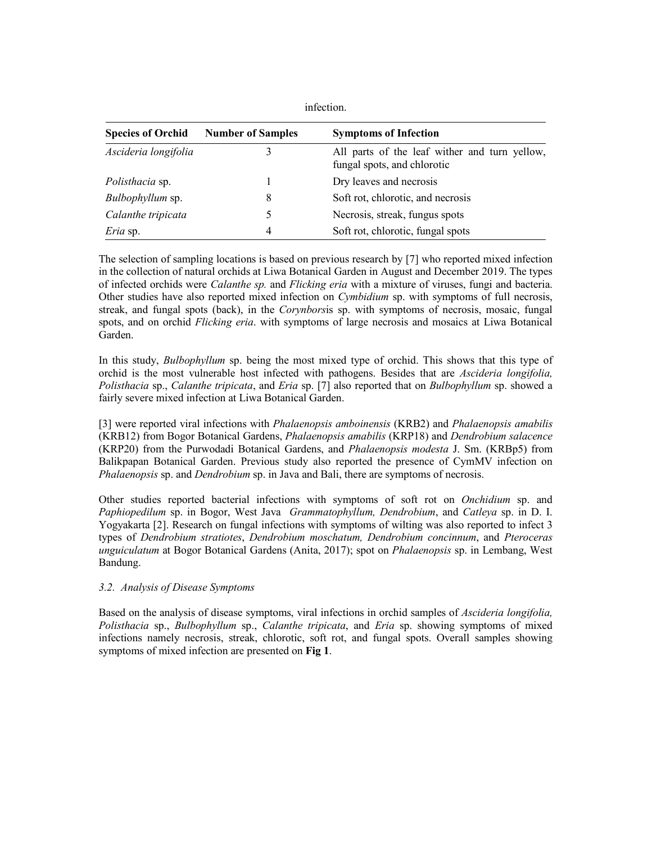| <b>Species of Orchid</b> | <b>Number of Samples</b> | <b>Symptoms of Infection</b>                                                 |
|--------------------------|--------------------------|------------------------------------------------------------------------------|
| Ascideria longifolia     |                          | All parts of the leaf wither and turn yellow,<br>fungal spots, and chlorotic |
| Polisthacia sp.          |                          | Dry leaves and necrosis                                                      |
| Bulbophyllum sp.         | 8                        | Soft rot, chlorotic, and necrosis                                            |
| Calanthe tripicata       |                          | Necrosis, streak, fungus spots                                               |
| <i>Eria</i> sp.          | 4                        | Soft rot, chlorotic, fungal spots                                            |

infection.

The selection of sampling locations is based on previous research by [7] who reported mixed infection in the collection of natural orchids at Liwa Botanical Garden in August and December 2019. The types of infected orchids were *Calanthe sp.* and *Flicking eria* with a mixture of viruses, fungi and bacteria. Other studies have also reported mixed infection on *Cymbidium* sp. with symptoms of full necrosis, streak, and fungal spots (back), in the *Corynbors*is sp. with symptoms of necrosis, mosaic, fungal spots, and on orchid *Flicking eria*. with symptoms of large necrosis and mosaics at Liwa Botanical Garden.

In this study, *Bulbophyllum* sp. being the most mixed type of orchid. This shows that this type of orchid is the most vulnerable host infected with pathogens. Besides that are *Ascideria longifolia, Polisthacia* sp., *Calanthe tripicata*, and *Eria* sp. [7] also reported that on *Bulbophyllum* sp. showed a fairly severe mixed infection at Liwa Botanical Garden.

[3] were reported viral infections with *Phalaenopsis amboinensis* (KRB2) and *Phalaenopsis amabilis* (KRB12) from Bogor Botanical Gardens, *Phalaenopsis amabilis* (KRP18) and *Dendrobium salacence* (KRP20) from the Purwodadi Botanical Gardens, and *Phalaenopsis modesta* J. Sm. (KRBp5) from Balikpapan Botanical Garden. Previous study also reported the presence of CymMV infection on *Phalaenopsis* sp. and *Dendrobium* sp. in Java and Bali, there are symptoms of necrosis.

Other studies reported bacterial infections with symptoms of soft rot on *Onchidium* sp. and *Paphiopedilum* sp. in Bogor, West Java *Grammatophyllum, Dendrobium*, and *Catleya* sp. in D. I. Yogyakarta [2]. Research on fungal infections with symptoms of wilting was also reported to infect 3 types of *Dendrobium stratiotes*, *Dendrobium moschatum, Dendrobium concinnum*, and *Pteroceras unguiculatum* at Bogor Botanical Gardens (Anita, 2017); spot on *Phalaenopsis* sp. in Lembang, West Bandung.

## *3.2. Analysis of Disease Symptoms*

Based on the analysis of disease symptoms, viral infections in orchid samples of *Ascideria longifolia, Polisthacia* sp., *Bulbophyllum* sp., *Calanthe tripicata*, and *Eria* sp. showing symptoms of mixed infections namely necrosis, streak, chlorotic, soft rot, and fungal spots. Overall samples showing symptoms of mixed infection are presented on **Fig 1**.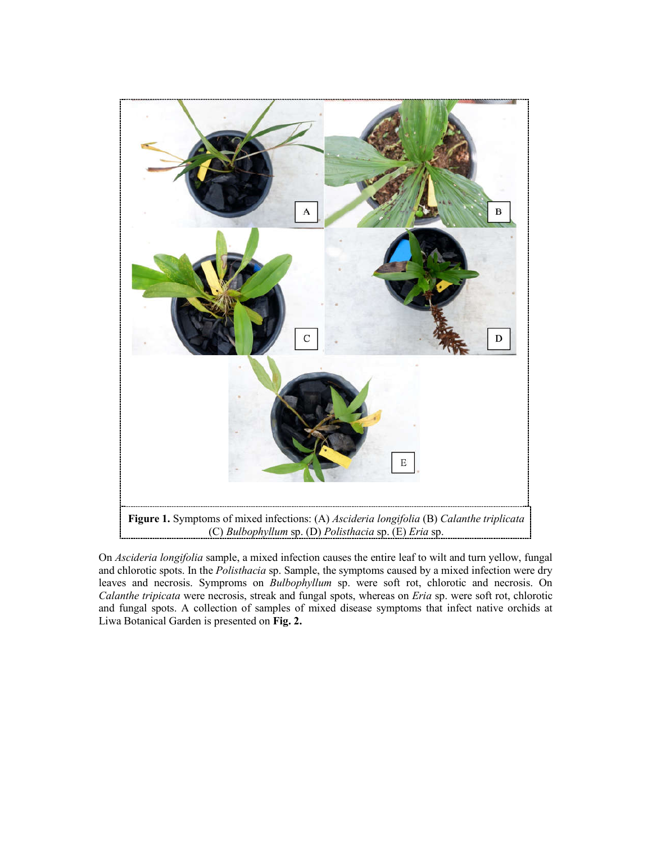

On *Ascideria longifolia* sample, a mixed infection causes the entire leaf to wilt and turn yellow, fungal and chlorotic spots. In the *Polisthacia* sp. Sample, the symptoms caused by a mixed infection were dry leaves and necrosis. Symproms on *Bulbophyllum* sp. were soft rot, chlorotic and necrosis. On *Calanthe tripicata* were necrosis, streak and fungal spots, whereas on *Eria* sp. were soft rot, chlorotic and fungal spots. A collection of samples of mixed disease symptoms that infect native orchids at Liwa Botanical Garden is presented on **Fig. 2.**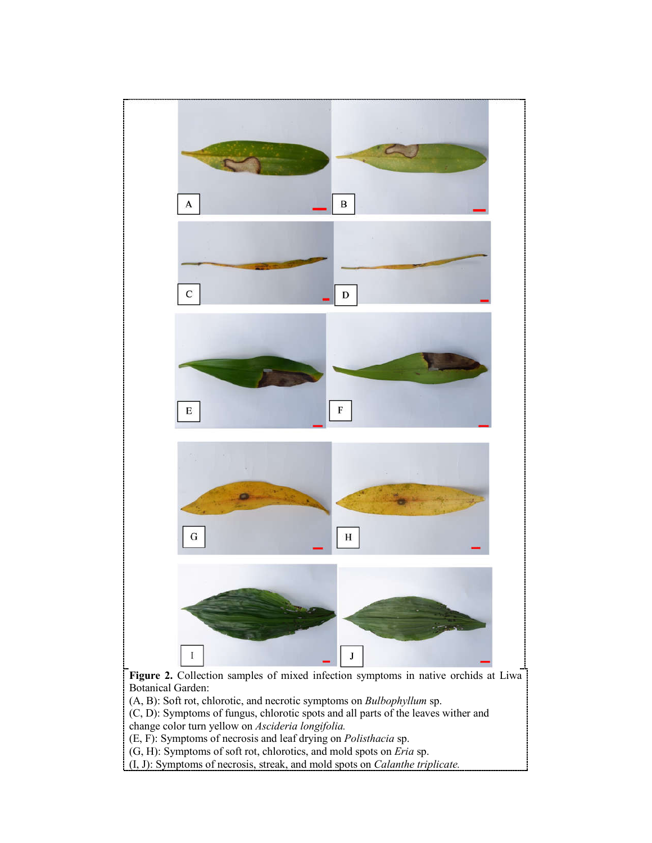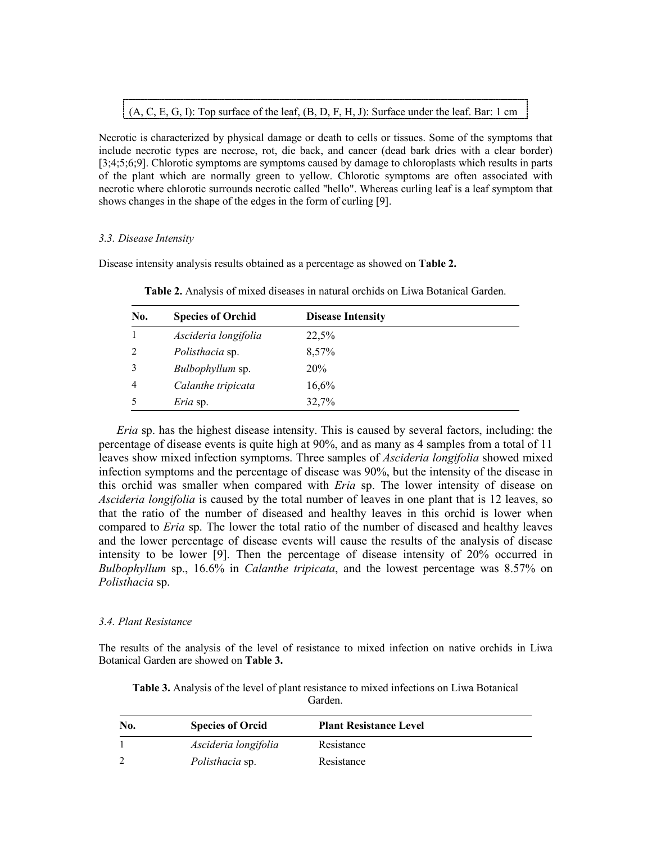(A, C, E, G, I): Top surface of the leaf, (B, D, F, H, J): Surface under the leaf. Bar: 1 cm

Necrotic is characterized by physical damage or death to cells or tissues. Some of the symptoms that include necrotic types are necrose, rot, die back, and cancer (dead bark dries with a clear border) [3;4;5;6;9]. Chlorotic symptoms are symptoms caused by damage to chloroplasts which results in parts of the plant which are normally green to yellow. Chlorotic symptoms are often associated with necrotic where chlorotic surrounds necrotic called "hello". Whereas curling leaf is a leaf symptom that shows changes in the shape of the edges in the form of curling [9].

# *3.3. Disease Intensity*

Disease intensity analysis results obtained as a percentage as showed on **Table 2.**

| No.            | <b>Species of Orchid</b> | <b>Disease Intensity</b> |  |
|----------------|--------------------------|--------------------------|--|
|                | Ascideria longifolia     | 22,5%                    |  |
| 2              | Polisthacia sp.          | 8,57%                    |  |
| 3              | <i>Bulbophyllum</i> sp.  | <b>20%</b>               |  |
| $\overline{4}$ | Calanthe tripicata       | 16,6%                    |  |
| 5              | <i>Eria</i> sp.          | 32,7%                    |  |

**Table 2.** Analysis of mixed diseases in natural orchids on Liwa Botanical Garden.

*Eria* sp. has the highest disease intensity. This is caused by several factors, including: the percentage of disease events is quite high at 90%, and as many as 4 samples from a total of 11 leaves show mixed infection symptoms. Three samples of *Ascideria longifolia* showed mixed infection symptoms and the percentage of disease was 90%, but the intensity of the disease in this orchid was smaller when compared with *Eria* sp. The lower intensity of disease on *Ascideria longifolia* is caused by the total number of leaves in one plant that is 12 leaves, so that the ratio of the number of diseased and healthy leaves in this orchid is lower when compared to *Eria* sp. The lower the total ratio of the number of diseased and healthy leaves and the lower percentage of disease events will cause the results of the analysis of disease intensity to be lower [9]. Then the percentage of disease intensity of 20% occurred in *Bulbophyllum* sp., 16.6% in *Calanthe tripicata*, and the lowest percentage was 8.57% on *Polisthacia* sp.

# *3.4. Plant Resistance*

The results of the analysis of the level of resistance to mixed infection on native orchids in Liwa Botanical Garden are showed on **Table 3.**

| Table 3. Analysis of the level of plant resistance to mixed infections on Liwa Botanical |
|------------------------------------------------------------------------------------------|
| Garden.                                                                                  |

| No. | <b>Species of Orcid</b> | <b>Plant Resistance Level</b> |  |
|-----|-------------------------|-------------------------------|--|
|     | Ascideria longifolia    | Resistance                    |  |
|     | Polisthacia sp.         | Resistance                    |  |